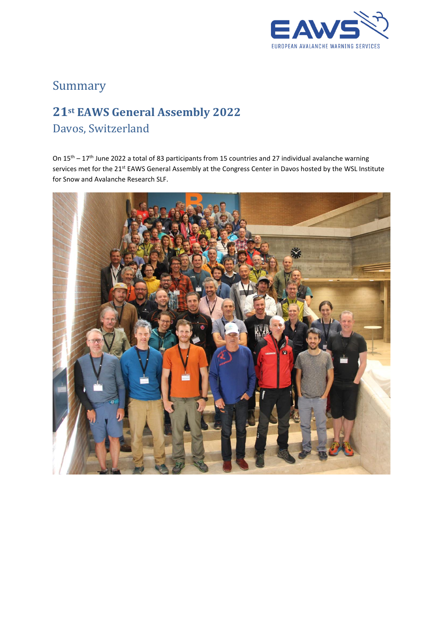

# Summary

# **21st EAWS General Assembly 2022** Davos, Switzerland

On 15th – 17th June 2022 a total of 83 participants from 15 countries and 27 individual avalanche warning services met for the 21<sup>st</sup> EAWS General Assembly at the Congress Center in Davos hosted by the WSL Institute for Snow and Avalanche Research SLF.

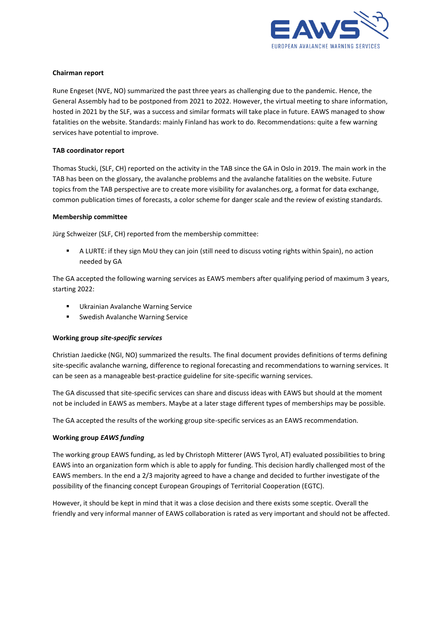

## **Chairman report**

Rune Engeset (NVE, NO) summarized the past three years as challenging due to the pandemic. Hence, the General Assembly had to be postponed from 2021 to 2022. However, the virtual meeting to share information, hosted in 2021 by the SLF, was a success and similar formats will take place in future. EAWS managed to show fatalities on the website. Standards: mainly Finland has work to do. Recommendations: quite a few warning services have potential to improve.

#### **TAB coordinator report**

Thomas Stucki, (SLF, CH) reported on the activity in the TAB since the GA in Oslo in 2019. The main work in the TAB has been on the glossary, the avalanche problems and the avalanche fatalities on the website. Future topics from the TAB perspective are to create more visibility for avalanches.org, a format for data exchange, common publication times of forecasts, a color scheme for danger scale and the review of existing standards.

#### **Membership committee**

Jürg Schweizer (SLF, CH) reported from the membership committee:

▪ A LURTE: if they sign MoU they can join (still need to discuss voting rights within Spain), no action needed by GA

The GA accepted the following warning services as EAWS members after qualifying period of maximum 3 years, starting 2022:

- Ukrainian Avalanche Warning Service
- Swedish Avalanche Warning Service

#### **Working group** *site-specific services*

Christian Jaedicke (NGI, NO) summarized the results. The final document provides definitions of terms defining site-specific avalanche warning, difference to regional forecasting and recommendations to warning services. It can be seen as a manageable best-practice guideline for site-specific warning services.

The GA discussed that site-specific services can share and discuss ideas with EAWS but should at the moment not be included in EAWS as members. Maybe at a later stage different types of memberships may be possible.

The GA accepted the results of the working group site-specific services as an EAWS recommendation.

#### **Working group** *EAWS funding*

The working group EAWS funding, as led by Christoph Mitterer (AWS Tyrol, AT) evaluated possibilities to bring EAWS into an organization form which is able to apply for funding. This decision hardly challenged most of the EAWS members. In the end a 2/3 majority agreed to have a change and decided to further investigate of the possibility of the financing concept European Groupings of Territorial Cooperation (EGTC).

However, it should be kept in mind that it was a close decision and there exists some sceptic. Overall the friendly and very informal manner of EAWS collaboration is rated as very important and should not be affected.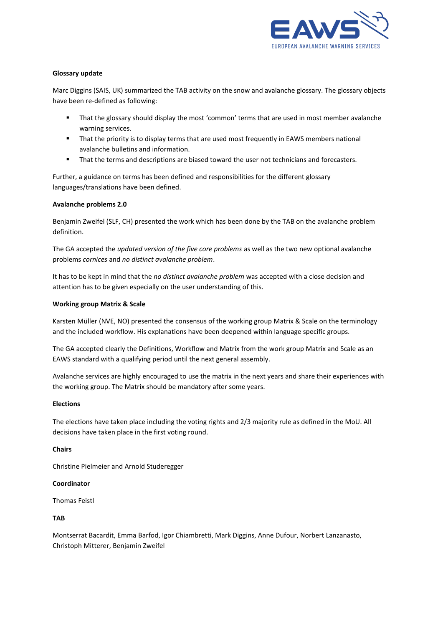

### **Glossary update**

Marc Diggins (SAIS, UK) summarized the TAB activity on the snow and avalanche glossary. The glossary objects have been re-defined as following:

- **■** That the glossary should display the most 'common' terms that are used in most member avalanche warning services.
- **•** That the priority is to display terms that are used most frequently in EAWS members national avalanche bulletins and information.
- **•** That the terms and descriptions are biased toward the user not technicians and forecasters.

Further, a guidance on terms has been defined and responsibilities for the different glossary languages/translations have been defined.

# **Avalanche problems 2.0**

Benjamin Zweifel (SLF, CH) presented the work which has been done by the TAB on the avalanche problem definition.

The GA accepted the *updated version of the five core problems* as well as the two new optional avalanche problems *cornices* and *no distinct avalanche problem*.

It has to be kept in mind that the *no distinct avalanche problem* was accepted with a close decision and attention has to be given especially on the user understanding of this.

#### **Working group Matrix & Scale**

Karsten Müller (NVE, NO) presented the consensus of the working group Matrix & Scale on the terminology and the included workflow. His explanations have been deepened within language specific groups.

The GA accepted clearly the Definitions, Workflow and Matrix from the work group Matrix and Scale as an EAWS standard with a qualifying period until the next general assembly.

Avalanche services are highly encouraged to use the matrix in the next years and share their experiences with the working group. The Matrix should be mandatory after some years.

## **Elections**

The elections have taken place including the voting rights and 2/3 majority rule as defined in the MoU. All decisions have taken place in the first voting round.

#### **Chairs**

Christine Pielmeier and Arnold Studeregger

#### **Coordinator**

Thomas Feistl

## **TAB**

Montserrat Bacardit, Emma Barfod, Igor Chiambretti, Mark Diggins, Anne Dufour, Norbert Lanzanasto, Christoph Mitterer, Benjamin Zweifel